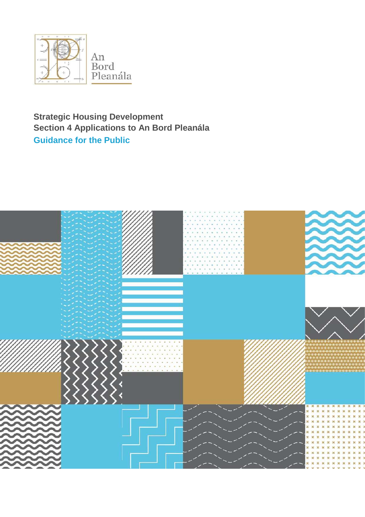

# **Strategic Housing Development Section 4 Applications to An Bord Pleanála Guidance for the Public**

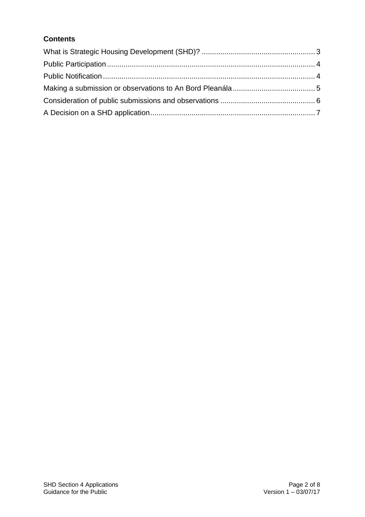## **Contents**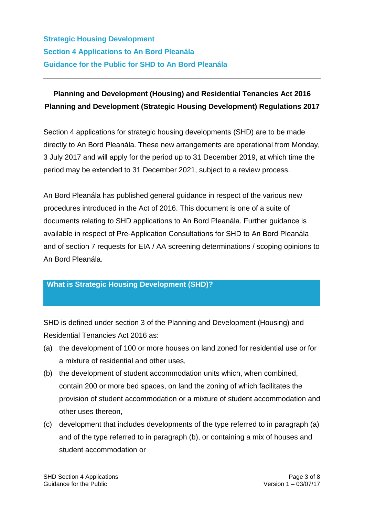## **Planning and Development (Housing) and Residential Tenancies Act 2016 Planning and Development (Strategic Housing Development) Regulations 2017**

Section 4 applications for strategic housing developments (SHD) are to be made directly to An Bord Pleanála. These new arrangements are operational from Monday, 3 July 2017 and will apply for the period up to 31 December 2019, at which time the period may be extended to 31 December 2021, subject to a review process.

An Bord Pleanála has published general guidance in respect of the various new procedures introduced in the Act of 2016. This document is one of a suite of documents relating to SHD applications to An Bord Pleanála. Further guidance is available in respect of Pre-Application Consultations for SHD to An Bord Pleanála and of section 7 requests for EIA / AA screening determinations / scoping opinions to An Bord Pleanála.

### <span id="page-2-0"></span>**What is Strategic Housing Development (SHD)?**

SHD is defined under section 3 of the Planning and Development (Housing) and Residential Tenancies Act 2016 as:

- (a) the development of 100 or more houses on land zoned for residential use or for a mixture of residential and other uses,
- (b) the development of student accommodation units which, when combined, contain 200 or more bed spaces, on land the zoning of which facilitates the provision of student accommodation or a mixture of student accommodation and other uses thereon,
- (c) development that includes developments of the type referred to in paragraph (a) and of the type referred to in paragraph (b), or containing a mix of houses and student accommodation or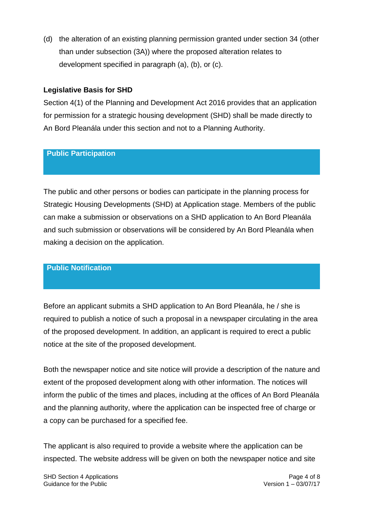(d) the alteration of an existing planning permission granted under section 34 (other than under subsection (3A)) where the proposed alteration relates to development specified in paragraph (a), (b), or (c).

#### **Legislative Basis for SHD**

Section 4(1) of the Planning and Development Act 2016 provides that an application for permission for a strategic housing development (SHD) shall be made directly to An Bord Pleanála under this section and not to a Planning Authority.

#### <span id="page-3-0"></span>**Public Participation**

The public and other persons or bodies can participate in the planning process for Strategic Housing Developments (SHD) at Application stage. Members of the public can make a submission or observations on a SHD application to An Bord Pleanála and such submission or observations will be considered by An Bord Pleanála when making a decision on the application.

#### <span id="page-3-1"></span>**Public Notification**

Before an applicant submits a SHD application to An Bord Pleanála, he / she is required to publish a notice of such a proposal in a newspaper circulating in the area of the proposed development. In addition, an applicant is required to erect a public notice at the site of the proposed development.

Both the newspaper notice and site notice will provide a description of the nature and extent of the proposed development along with other information. The notices will inform the public of the times and places, including at the offices of An Bord Pleanála and the planning authority, where the application can be inspected free of charge or a copy can be purchased for a specified fee.

The applicant is also required to provide a website where the application can be inspected. The website address will be given on both the newspaper notice and site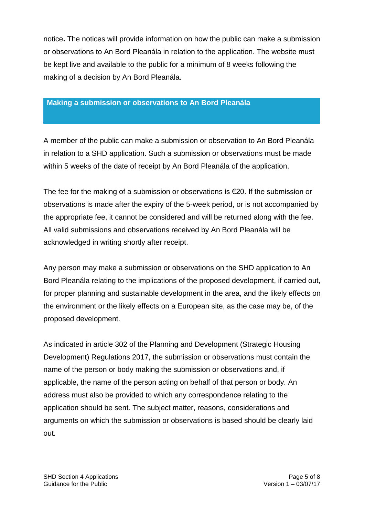notice**.** The notices will provide information on how the public can make a submission or observations to An Bord Pleanála in relation to the application. The website must be kept live and available to the public for a minimum of 8 weeks following the making of a decision by An Bord Pleanála.

#### <span id="page-4-0"></span>**Making a submission or observations to An Bord Pleanála**

A member of the public can make a submission or observation to An Bord Pleanála in relation to a SHD application. Such a submission or observations must be made within 5 weeks of the date of receipt by An Bord Pleanála of the application.

The fee for the making of a submission or observations is €20. If the submission or observations is made after the expiry of the 5-week period, or is not accompanied by the appropriate fee, it cannot be considered and will be returned along with the fee. All valid submissions and observations received by An Bord Pleanála will be acknowledged in writing shortly after receipt.

Any person may make a submission or observations on the SHD application to An Bord Pleanála relating to the implications of the proposed development, if carried out, for proper planning and sustainable development in the area, and the likely effects on the environment or the likely effects on a European site, as the case may be, of the proposed development.

As indicated in article 302 of the Planning and Development (Strategic Housing Development) Regulations 2017, the submission or observations must contain the name of the person or body making the submission or observations and, if applicable, the name of the person acting on behalf of that person or body. An address must also be provided to which any correspondence relating to the application should be sent. The subject matter, reasons, considerations and arguments on which the submission or observations is based should be clearly laid out.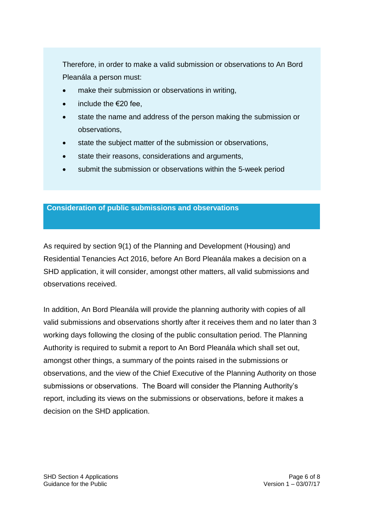Therefore, in order to make a valid submission or observations to An Bord Pleanála a person must:

- make their submission or observations in writing,
- include the €20 fee,
- state the name and address of the person making the submission or observations,
- state the subject matter of the submission or observations,
- state their reasons, considerations and arguments,
- submit the submission or observations within the 5-week period

#### <span id="page-5-0"></span>**Consideration of public submissions and observations**

As required by section 9(1) of the Planning and Development (Housing) and Residential Tenancies Act 2016, before An Bord Pleanála makes a decision on a SHD application, it will consider, amongst other matters, all valid submissions and observations received.

In addition, An Bord Pleanála will provide the planning authority with copies of all valid submissions and observations shortly after it receives them and no later than 3 working days following the closing of the public consultation period. The Planning Authority is required to submit a report to An Bord Pleanála which shall set out, amongst other things, a summary of the points raised in the submissions or observations, and the view of the Chief Executive of the Planning Authority on those submissions or observations. The Board will consider the Planning Authority's report, including its views on the submissions or observations, before it makes a decision on the SHD application.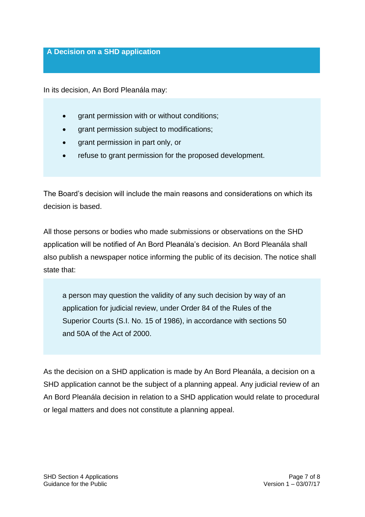#### <span id="page-6-0"></span>**A Decision on a SHD application**

In its decision, An Bord Pleanála may:

- grant permission with or without conditions;
- grant permission subject to modifications;
- grant permission in part only, or
- refuse to grant permission for the proposed development.

The Board's decision will include the main reasons and considerations on which its decision is based.

All those persons or bodies who made submissions or observations on the SHD application will be notified of An Bord Pleanála's decision. An Bord Pleanála shall also publish a newspaper notice informing the public of its decision. The notice shall state that:

a person may question the validity of any such decision by way of an application for judicial review, under Order 84 of the Rules of the Superior Courts (S.I. No. 15 of 1986), in accordance with sections 50 and 50A of the Act of 2000.

As the decision on a SHD application is made by An Bord Pleanála, a decision on a SHD application cannot be the subject of a planning appeal. Any judicial review of an An Bord Pleanála decision in relation to a SHD application would relate to procedural or legal matters and does not constitute a planning appeal.